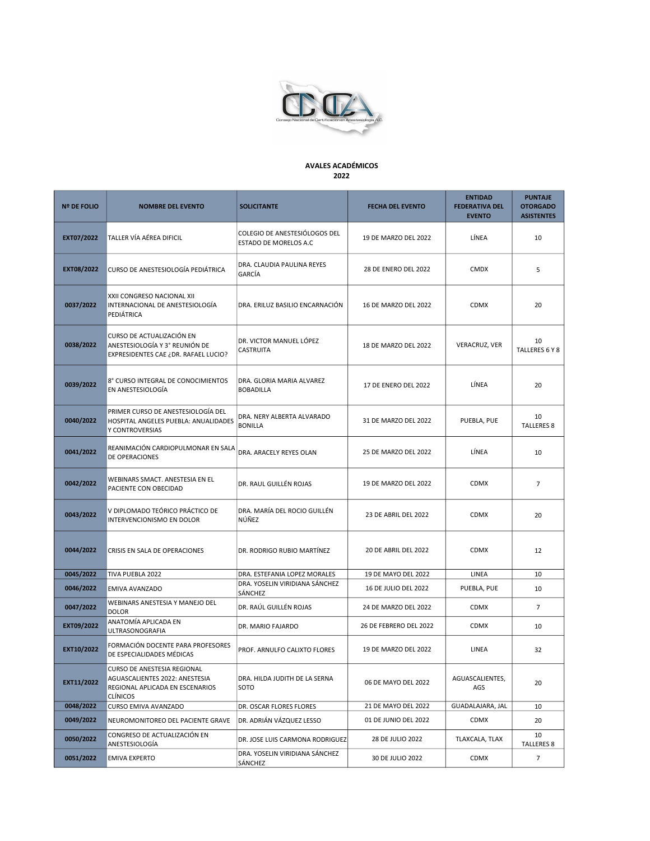

## AVALES ACADÉMICOS 2022

| <b>Nº DE FOLIO</b> | <b>NOMBRE DEL EVENTO</b>                                                                                            | <b>SOLICITANTE</b>                                            | <b>FECHA DEL EVENTO</b>     | <b>ENTIDAD</b><br><b>FEDERATIVA DEL</b><br><b>EVENTO</b> | <b>PUNTAJE</b><br><b>OTORGADO</b><br><b>ASISTENTES</b> |
|--------------------|---------------------------------------------------------------------------------------------------------------------|---------------------------------------------------------------|-----------------------------|----------------------------------------------------------|--------------------------------------------------------|
| EXT07/2022         | TALLER VÍA AÉREA DIFICIL                                                                                            | COLEGIO DE ANESTESIÓLOGOS DEL<br><b>ESTADO DE MORELOS A.C</b> | 19 DE MARZO DEL 2022        | LÍNEA                                                    | 10                                                     |
| EXT08/2022         | CURSO DE ANESTESIOLOGÍA PEDIÁTRICA                                                                                  | DRA. CLAUDIA PAULINA REYES<br>GARCÍA                          | 28 DE ENERO DEL 2022        | <b>CMDX</b>                                              | 5                                                      |
| 0037/2022          | XXII CONGRESO NACIONAL XII<br>INTERNACIONAL DE ANESTESIOLOGÍA<br>PEDIÁTRICA                                         | DRA. ERILUZ BASILIO ENCARNACIÓN                               | 16 DE MARZO DEL 2022        | CDMX                                                     | 20                                                     |
| 0038/2022          | CURSO DE ACTUALIZACIÓN EN<br>ANESTESIOLOGÍA Y 3° REUNIÓN DE<br>EXPRESIDENTES CAE ¿DR. RAFAEL LUCIO?                 | DR. VICTOR MANUEL LÓPEZ<br>CASTRUITA                          | 18 DE MARZO DEL 2022        | VERACRUZ, VER                                            | 10<br>TALLERES 6 Y 8                                   |
| 0039/2022          | 8° CURSO INTEGRAL DE CONOCIMIENTOS<br>EN ANESTESIOLOGÍA                                                             | DRA. GLORIA MARIA ALVAREZ<br><b>BOBADILLA</b>                 | 17 DE ENERO DEL 2022        | LÍNEA                                                    | 20                                                     |
| 0040/2022          | PRIMER CURSO DE ANESTESIOLOGÍA DEL<br>HOSPITAL ANGELES PUEBLA: ANUALIDADES<br>Y CONTROVERSIAS                       | DRA. NERY ALBERTA ALVARADO<br><b>BONILLA</b>                  | 31 DE MARZO DEL 2022        | PUEBLA, PUE                                              | 10<br><b>TALLERES 8</b>                                |
| 0041/2022          | REANIMACIÓN CARDIOPULMONAR EN SALA<br>DE OPERACIONES                                                                | DRA. ARACELY REYES OLAN                                       | 25 DE MARZO DEL 2022        | LÍNEA                                                    | 10                                                     |
| 0042/2022          | WEBINARS SMACT. ANESTESIA EN EL<br>PACIENTE CON OBECIDAD                                                            | DR. RAUL GUILLÉN ROJAS                                        | 19 DE MARZO DEL 2022        | CDMX                                                     | $\overline{7}$                                         |
| 0043/2022          | V DIPLOMADO TEÓRICO PRÁCTICO DE<br>INTERVENCIONISMO EN DOLOR                                                        | DRA. MARÍA DEL ROCIO GUILLÉN<br>NÚÑEZ                         | 23 DE ABRIL DEL 2022        | <b>CDMX</b>                                              | 20                                                     |
| 0044/2022          | CRISIS EN SALA DE OPERACIONES                                                                                       | DR. RODRIGO RUBIO MARTÍNEZ                                    | 20 DE ABRIL DEL 2022        | CDMX                                                     | 12                                                     |
| 0045/2022          | TIVA PUEBLA 2022                                                                                                    | DRA. ESTEFANIA LOPEZ MORALES                                  | 19 DE MAYO DEL 2022         | LINEA                                                    | 10                                                     |
| 0046/2022          | EMIVA AVANZADO                                                                                                      | DRA. YOSELIN VIRIDIANA SÁNCHEZ<br>SÁNCHEZ                     | <b>16 DE JULIO DEL 2022</b> | PUEBLA, PUE                                              | 10                                                     |
| 0047/2022          | WEBINARS ANESTESIA Y MANEJO DEL<br><b>DOLOR</b>                                                                     | DR. RAÚL GUILLÉN ROJAS                                        | 24 DE MARZO DEL 2022        | CDMX                                                     | $\overline{7}$                                         |
| EXT09/2022         | ANATOMÍA APLICADA EN<br><b>ULTRASONOGRAFIA</b>                                                                      | DR. MARIO FAJARDO                                             | 26 DE FEBRERO DEL 2022      | <b>CDMX</b>                                              | 10                                                     |
| EXT10/2022         | FORMACIÓN DOCENTE PARA PROFESORES<br>DE ESPECIALIDADES MÉDICAS                                                      | PROF. ARNULFO CALIXTO FLORES                                  | 19 DE MARZO DEL 2022        | LINEA                                                    | 32                                                     |
| EXT11/2022         | CURSO DE ANESTESIA REGIONAL<br>AGUASCALIENTES 2022: ANESTESIA<br>REGIONAL APLICADA EN ESCENARIOS<br><b>CLÍNICOS</b> | DRA. HILDA JUDITH DE LA SERNA<br>SOTO                         | 06 DE MAYO DEL 2022         | AGUASCALIENTES,<br>AGS                                   | 20                                                     |
| 0048/2022          | CURSO EMIVA AVANZADO                                                                                                | DR. OSCAR FLORES FLORES                                       | 21 DE MAYO DEL 2022         | GUADALAJARA, JAL                                         | 10                                                     |
| 0049/2022          | NEUROMONITOREO DEL PACIENTE GRAVE                                                                                   | DR. ADRIÁN VÁZQUEZ LESSO                                      | 01 DE JUNIO DEL 2022        | CDMX                                                     | 20                                                     |
| 0050/2022          | CONGRESO DE ACTUALIZACIÓN EN<br>ANESTESIOLOGÍA                                                                      | DR. JOSE LUIS CARMONA RODRIGUEZ                               | 28 DE JULIO 2022            | TLAXCALA, TLAX                                           | 10<br><b>TALLERES 8</b>                                |
| 0051/2022          | <b>EMIVA EXPERTO</b>                                                                                                | DRA. YOSELIN VIRIDIANA SÁNCHEZ<br>SÁNCHEZ                     | 30 DE JULIO 2022            | CDMX                                                     | 7                                                      |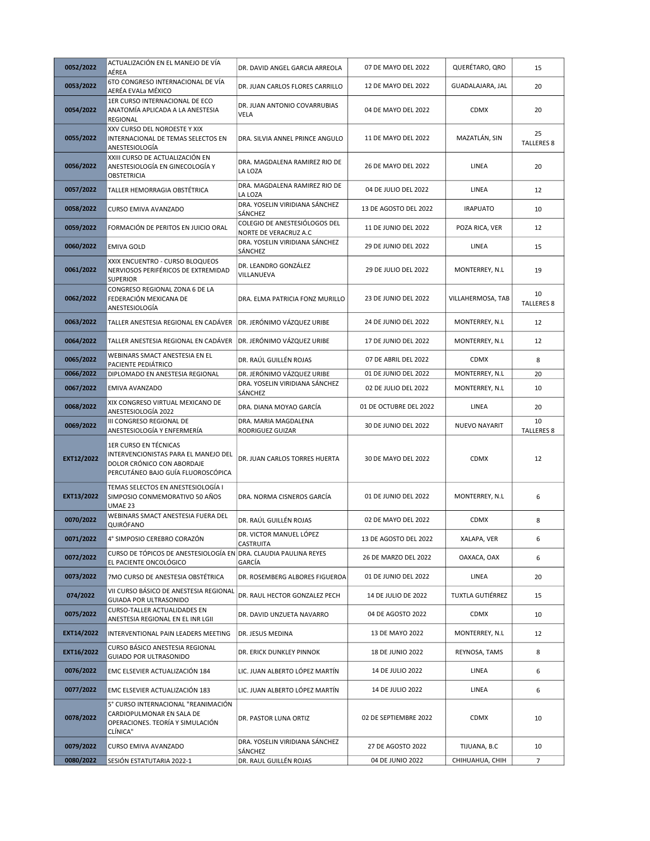| 0052/2022  | ACTUALIZACIÓN EN EL MANEJO DE VÍA<br>AÉREA                                                                                        | DR. DAVID ANGEL GARCIA ARREOLA                         | 07 DE MAYO DEL 2022     | QUERÉTARO, QRO    | 15                      |
|------------|-----------------------------------------------------------------------------------------------------------------------------------|--------------------------------------------------------|-------------------------|-------------------|-------------------------|
| 0053/2022  | 6TO CONGRESO INTERNACIONAL DE VÍA<br>AERÉA EVALa MÉXICO                                                                           | DR. JUAN CARLOS FLORES CARRILLO                        | 12 DE MAYO DEL 2022     | GUADALAJARA, JAL  | 20                      |
| 0054/2022  | 1ER CURSO INTERNACIONAL DE ECO<br>ANATOMÍA APLICADA A LA ANESTESIA<br><b>REGIONAL</b>                                             | DR. JUAN ANTONIO COVARRUBIAS<br>VELA                   | 04 DE MAYO DEL 2022     | <b>CDMX</b>       | 20                      |
| 0055/2022  | XXV CURSO DEL NOROESTE Y XIX<br>INTERNACIONAL DE TEMAS SELECTOS EN<br>ANESTESIOLOGÍA                                              | DRA. SILVIA ANNEL PRINCE ANGULO                        | 11 DE MAYO DEL 2022     | MAZATLÁN, SIN     | 25<br><b>TALLERES 8</b> |
| 0056/2022  | XXIII CURSO DE ACTUALIZACIÓN EN<br>ANESTESIOLOGÍA EN GINECOLOGÍA Y<br><b>OBSTETRICIA</b>                                          | DRA. MAGDALENA RAMIREZ RIO DE<br>LA LOZA               | 26 DE MAYO DEL 2022     | LINEA             | 20                      |
| 0057/2022  | TALLER HEMORRAGIA OBSTÉTRICA                                                                                                      | DRA. MAGDALENA RAMIREZ RIO DE<br>LA LOZA               | 04 DE JULIO DEL 2022    | LINEA             | 12                      |
| 0058/2022  | CURSO EMIVA AVANZADO                                                                                                              | DRA. YOSELIN VIRIDIANA SÁNCHEZ<br>SÁNCHEZ              | 13 DE AGOSTO DEL 2022   | <b>IRAPUATO</b>   | 10                      |
| 0059/2022  | FORMACIÓN DE PERITOS EN JUICIO ORAL                                                                                               | COLEGIO DE ANESTESIÓLOGOS DEL<br>NORTE DE VERACRUZ A.C | 11 DE JUNIO DEL 2022    | POZA RICA, VER    | 12                      |
| 0060/2022  | <b>EMIVA GOLD</b>                                                                                                                 | DRA. YOSELIN VIRIDIANA SÁNCHEZ<br>SÁNCHEZ              | 29 DE JUNIO DEL 2022    | LINEA             | 15                      |
| 0061/2022  | XXIX ENCUENTRO - CURSO BLOQUEOS<br>NERVIOSOS PERIFÉRICOS DE EXTREMIDAD<br><b>SUPERIOR</b>                                         | DR. LEANDRO GONZÁLEZ<br>VILLANUEVA                     | 29 DE JULIO DEL 2022    | MONTERREY, N.L    | 19                      |
| 0062/2022  | CONGRESO REGIONAL ZONA 6 DE LA<br>FEDERACIÓN MEXICANA DE<br>ANESTESIOLOGÍA                                                        | DRA. ELMA PATRICIA FONZ MURILLO                        | 23 DE JUNIO DEL 2022    | VILLAHERMOSA, TAB | 10<br><b>TALLERES 8</b> |
| 0063/2022  | TALLER ANESTESIA REGIONAL EN CADÁVER                                                                                              | DR. JERÓNIMO VÁZQUEZ URIBE                             | 24 DE JUNIO DEL 2022    | MONTERREY, N.L    | 12                      |
| 0064/2022  | TALLER ANESTESIA REGIONAL EN CADÁVER                                                                                              | DR. JERÓNIMO VÁZQUEZ URIBE                             | 17 DE JUNIO DEL 2022    | MONTERREY, N.L    | 12                      |
| 0065/2022  | WEBINARS SMACT ANESTESIA EN EL<br>PACIENTE PEDIÁTRICO                                                                             | DR. RAÚL GUILLÉN ROJAS                                 | 07 DE ABRIL DEL 2022    | <b>CDMX</b>       | 8                       |
| 0066/2022  | DIPLOMADO EN ANESTESIA REGIONAL                                                                                                   | DR. JERÓNIMO VÁZQUEZ URIBE                             | 01 DE JUNIO DEL 2022    | MONTERREY, N.L    | 20                      |
| 0067/2022  | EMIVA AVANZADO                                                                                                                    | DRA. YOSELIN VIRIDIANA SÁNCHEZ<br>SÁNCHEZ              | 02 DE JULIO DEL 2022    | MONTERREY, N.L    | 10                      |
| 0068/2022  | XIX CONGRESO VIRTUAL MEXICANO DE<br>ANESTESIOLOGÍA 2022                                                                           | DRA. DIANA MOYAO GARCÍA                                | 01 DE OCTUBRE DEL 2022  | LINEA             | 20                      |
| 0069/2022  | III CONGRESO REGIONAL DE<br>ANESTESIOLOGÍA Y ENFERMERÍA                                                                           | DRA. MARIA MAGDALENA<br>RODRIGUEZ GUIZAR               | 30 DE JUNIO DEL 2022    | NUEVO NAYARIT     | 10<br><b>TALLERES 8</b> |
| EXT12/2022 | 1ER CURSO EN TÉCNICAS<br>INTERVENCIONISTAS PARA EL MANEJO DEL<br>DOLOR CRÓNICO CON ABORDAJE<br>PERCUTÁNEO BAJO GUÍA FLUOROSCÓPICA | DR. JUAN CARLOS TORRES HUERTA                          | 30 DE MAYO DEL 2022     | <b>CDMX</b>       | 12                      |
| EXT13/2022 | TEMAS SELECTOS EN ANESTESIOLOGÍA I<br>SIMPOSIO CONMEMORATIVO 50 AÑOS<br>UMAE 23                                                   | DRA. NORMA CISNEROS GARCÍA                             | 01 DE JUNIO DEL 2022    | MONTERREY, N.L    | 6                       |
| 0070/2022  | WEBINARS SMACT ANESTESIA FUERA DEL<br>QUIRÓFANO                                                                                   | DR. RAÚL GUILLÉN ROJAS                                 | 02 DE MAYO DEL 2022     | <b>CDMX</b>       | 8                       |
| 0071/2022  | 4° SIMPOSIO CEREBRO CORAZÓN                                                                                                       | DR. VICTOR MANUEL LÓPEZ<br>CASTRUITA                   | 13 DE AGOSTO DEL 2022   | XALAPA, VER       | 6                       |
| 0072/2022  | CURSO DE TÓPICOS DE ANESTESIOLOGÍA EN DRA. CLAUDIA PAULINA REYES<br>EL PACIENTE ONCOLÓGICO                                        | GARCÍA                                                 | 26 DE MARZO DEL 2022    | OAXACA, OAX       | 6                       |
| 0073/2022  | 7MO CURSO DE ANESTESIA OBSTÉTRICA                                                                                                 | DR. ROSEMBERG ALBORES FIGUEROA                         | 01 DE JUNIO DEL 2022    | LINEA             | 20                      |
| 074/2022   | VII CURSO BÁSICO DE ANESTESIA REGIONAL<br>GUIADA POR ULTRASONIDO                                                                  | DR. RAUL HECTOR GONZALEZ PECH                          | 14 DE JULIO DE 2022     | TUXTLA GUTIÉRREZ  | 15                      |
| 0075/2022  | CURSO-TALLER ACTUALIDADES EN<br>ANESTESIA REGIONAL EN EL INR LGII                                                                 | DR. DAVID UNZUETA NAVARRO                              | 04 DE AGOSTO 2022       | CDMX              | 10                      |
| EXT14/2022 | INTERVENTIONAL PAIN LEADERS MEETING                                                                                               | DR. JESUS MEDINA                                       | 13 DE MAYO 2022         | MONTERREY, N.L    | 12                      |
| EXT16/2022 | CURSO BÁSICO ANESTESIA REGIONAL<br><b>GUIADO POR ULTRASONIDO</b>                                                                  | DR. ERICK DUNKLEY PINNOK                               | <b>18 DE JUNIO 2022</b> | REYNOSA, TAMS     | 8                       |
| 0076/2022  | EMC ELSEVIER ACTUALIZACIÓN 184                                                                                                    | LIC. JUAN ALBERTO LÓPEZ MARTÍN                         | 14 DE JULIO 2022        | LINEA             | 6                       |
| 0077/2022  | EMC ELSEVIER ACTUALIZACIÓN 183                                                                                                    | LIC. JUAN ALBERTO LÓPEZ MARTÍN                         | 14 DE JULIO 2022        | LINEA             | 6                       |
| 0078/2022  | 5° CURSO INTERNACIONAL "REANIMACIÓN<br>CARDIOPULMONAR EN SALA DE<br>OPERACIONES. TEORÍA Y SIMULACIÓN<br>CLÍNICA"                  | DR. PASTOR LUNA ORTIZ                                  | 02 DE SEPTIEMBRE 2022   | CDMX              | 10                      |
| 0079/2022  | CURSO EMIVA AVANZADO                                                                                                              | DRA. YOSELIN VIRIDIANA SÁNCHEZ<br>SÁNCHEZ              | 27 DE AGOSTO 2022       | TIJUANA, B.C      | 10                      |
| 0080/2022  | SESIÓN ESTATUTARIA 2022-1                                                                                                         | DR. RAUL GUILLÉN ROJAS                                 | 04 DE JUNIO 2022        | CHIHUAHUA, CHIH   | $\overline{7}$          |